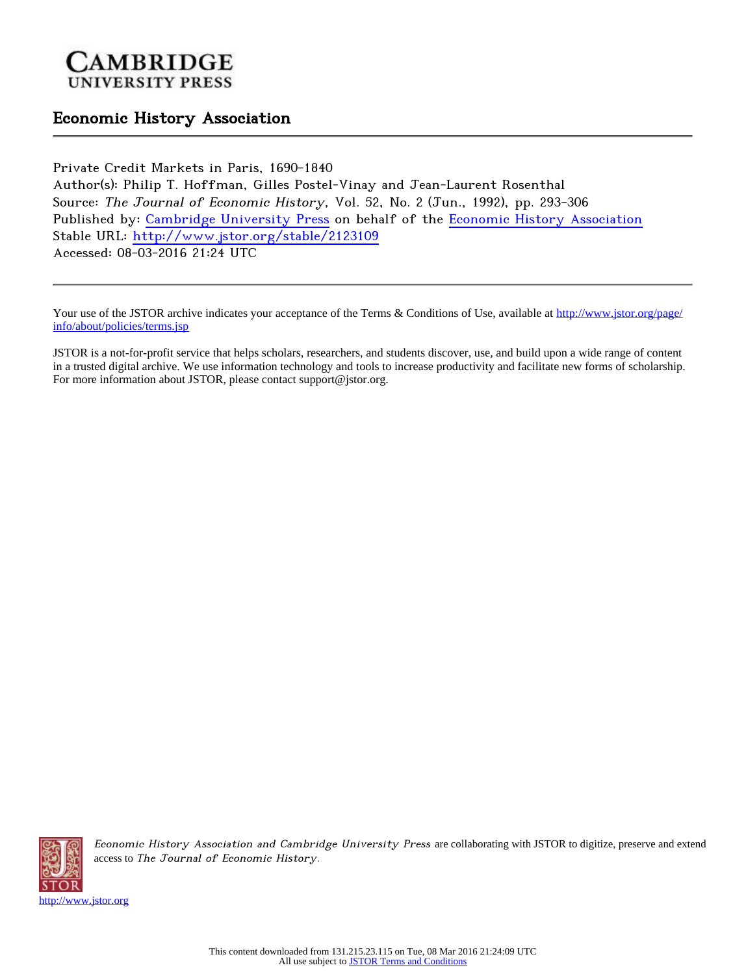# **CAMBRIDGE UNIVERSITY PRESS**

## Economic History Association

Private Credit Markets in Paris, 1690-1840 Author(s): Philip T. Hoffman, Gilles Postel-Vinay and Jean-Laurent Rosenthal Source: The Journal of Economic History, Vol. 52, No. 2 (Jun., 1992), pp. 293-306 Published by: [Cambridge University Press](http://www.jstor.org/publisher/cup) on behalf of the [Economic History Association](http://www.jstor.org/publisher/eha) Stable URL: <http://www.jstor.org/stable/2123109> Accessed: 08-03-2016 21:24 UTC

Your use of the JSTOR archive indicates your acceptance of the Terms & Conditions of Use, available at [http://www.jstor.org/page/](http://www.jstor.org/page/info/about/policies/terms.jsp) [info/about/policies/terms.jsp](http://www.jstor.org/page/info/about/policies/terms.jsp)

JSTOR is a not-for-profit service that helps scholars, researchers, and students discover, use, and build upon a wide range of content in a trusted digital archive. We use information technology and tools to increase productivity and facilitate new forms of scholarship. For more information about JSTOR, please contact support@jstor.org.



Economic History Association and Cambridge University Press are collaborating with JSTOR to digitize, preserve and extend access to The Journal of Economic History.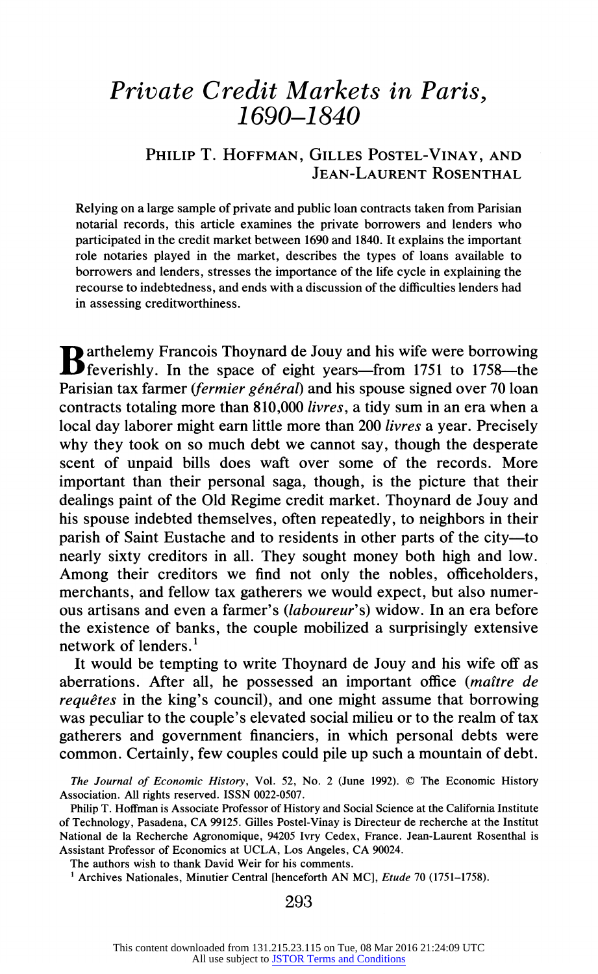# Private Credit Markets in Paris, 1690-1840

#### PHILIP T. HOFFMAN, GILLES POSTEL-VINAY, AND **JEAN-LAURENT ROSENTHAL**  $-$

 Relying on a large sample of private and public loan contracts taken from Parisian notarial records, this article examines the private borrowers and lenders who participated in the credit market between 1690 and 1840. It explains the important role notaries played in the market, describes the types of loans available to borrowers and lenders, stresses the importance of the life cycle in explaining the recourse to indebtedness, and ends with a discussion of the difficulties lenders had in assessing creditworthiness.

 Barthelemy Francois Thoynard de Jouy and his wife were borrowing feverishly. In the space of eight years-from 1751 to 1758-the Parisian tax farmer (*fermier général*) and his spouse signed over 70 loan contracts totaling more than 810,000 livres, a tidy sum in an era when a local day laborer might earn little more than 200 livres a year. Precisely why they took on so much debt we cannot say, though the desperate scent of unpaid bills does waft over some of the records. More important than their personal saga, though, is the picture that their dealings paint of the Old Regime credit market. Thoynard de Jouy and his spouse indebted themselves, often repeatedly, to neighbors in their parish of Saint Eustache and to residents in other parts of the city-to nearly sixty creditors in all. They sought money both high and low. Among their creditors we find not only the nobles, officeholders, merchants, and fellow tax gatherers we would expect, but also numer ous artisans and even a farmer's (laboureur's) widow. In an era before the existence of banks, the couple mobilized a surprisingly extensive network of lenders. $<sup>1</sup>$ </sup>

 It would be tempting to write Thoynard de Jouy and his wife off as aberrations. After all, he possessed an important office (maitre de requêtes in the king's council), and one might assume that borrowing was peculiar to the couple's elevated social milieu or to the realm of tax gatherers and government financiers, in which personal debts were common. Certainly, few couples could pile up such a mountain of debt.

The authors wish to thank David Weir for his comments.

293

The Journal of Economic History, Vol. 52, No. 2 (June 1992). © The Economic History Association. All rights reserved. ISSN 0022-0507.

Philip T. Hoffman is Associate Professor of History and Social Science at the California Institute of Technology, Pasadena, CA 99125. Gilles Postel-Vinay is Directeur de recherche at the Institut National de la Recherche Agronomique, 94205 Ivry Cedex, France. Jean-Laurent Rosenthal is Assistant Professor of Economics at UCLA, Los Angeles, CA 90024.

<sup>&</sup>lt;sup>1</sup> Archives Nationales, Minutier Central [henceforth AN MC], *Etude* 70 (1751–1758).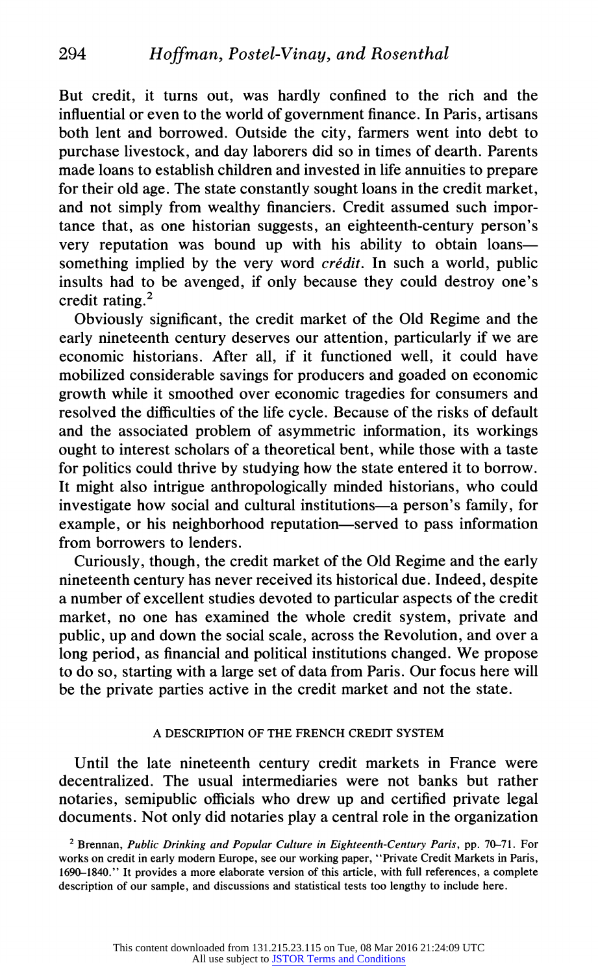But credit, it turns out, was hardly confined to the rich and the influential or even to the world of government finance. In Paris, artisans both lent and borrowed. Outside the city, farmers went into debt to purchase livestock, and day laborers did so in times of dearth. Parents made loans to establish children and invested in life annuities to prepare for their old age. The state constantly sought loans in the credit market, and not simply from wealthy financiers. Credit assumed such impor tance that, as one historian suggests, an eighteenth-century person's very reputation was bound up with his ability to obtain loans something implied by the very word *crédit*. In such a world, public insults had to be avenged, if only because they could destroy one's credit rating.2

 Obviously significant, the credit market of the Old Regime and the early nineteenth century deserves our attention, particularly if we are economic historians. After all, if it functioned well, it could have mobilized considerable savings for producers and goaded on economic growth while it smoothed over economic tragedies for consumers and resolved the difficulties of the life cycle. Because of the risks of default and the associated problem of asymmetric information, its workings ought to interest scholars of a theoretical bent, while those with a taste for politics could thrive by studying how the state entered it to borrow. It might also intrigue anthropologically minded historians, who could investigate how social and cultural institutions—a person's family, for example, or his neighborhood reputation-served to pass information from borrowers to lenders.

 Curiously, though, the credit market of the Old Regime and the early nineteenth century has never received its historical due. Indeed, despite a number of excellent studies devoted to particular aspects of the credit market, no one has examined the whole credit system, private and public, up and down the social scale, across the Revolution, and over a long period, as financial and political institutions changed. We propose to do so, starting with a large set of data from Paris. Our focus here will be the private parties active in the credit market and not the state.

### A DESCRIPTION OF THE FRENCH CREDIT SYSTEM

 Until the late nineteenth century credit markets in France were decentralized. The usual intermediaries were not banks but rather notaries, semipublic officials who drew up and certified private legal documents. Not only did notaries play a central role in the organization

 <sup>2</sup> Brennan, Public Drinking and Popular Culture in Eighteenth-Century Paris, pp. 70-71. For works on credit in early modem Europe, see our working paper, "Private Credit Markets in Paris, 1690-1840." It provides a more elaborate version of this article, with full references, a complete description of our sample, and discussions and statistical tests too lengthy to include here.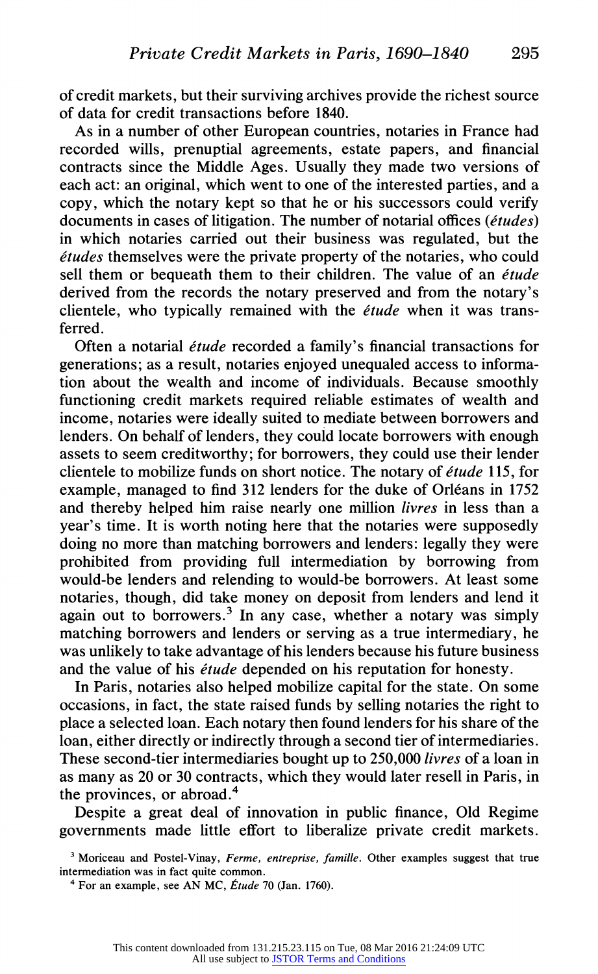of credit markets, but their surviving archives provide the richest source of data for credit transactions before 1840.

 As in a number of other European countries, notaries in France had recorded wills, prenuptial agreements, estate papers, and financial contracts since the Middle Ages. Usually they made two versions of each act: an original, which went to one of the interested parties, and a copy, which the notary kept so that he or his successors could verify documents in cases of litigation. The number of notarial offices  $(\text{\'etudes})$  in which notaries carried out their business was regulated, but the *études* themselves were the private property of the notaries, who could sell them or bequeath them to their children. The value of an *étude*  derived from the records the notary preserved and from the notary's clientele, who typically remained with the *étude* when it was transferred.  $\tilde{\phantom{a}}$ 

Often a notarial *étude* recorded a family's financial transactions for generations; as a result, notaries enjoyed unequaled access to informa tion about the wealth and income of individuals. Because smoothly functioning credit markets required reliable estimates of wealth and income, notaries were ideally suited to mediate between borrowers and lenders. On behalf of lenders, they could locate borrowers with enough assets to seem creditworthy; for borrowers, they could use their lender clientele to mobilize funds on short notice. The notary of *étude* 115, for example, managed to find 312 lenders for the duke of Orléans in 1752 and thereby helped him raise nearly one million livres in less than a year's time. It is worth noting here that the notaries were supposedly doing no more than matching borrowers and lenders: legally they were prohibited from providing full intermediation by borrowing from would-be lenders and relending to would-be borrowers. At least some notaries, though, did take money on deposit from lenders and lend it again out to borrowers. $3$  In any case, whether a notary was simply matching borrowers and lenders or serving as a true intermediary, he was unlikely to take advantage of his lenders because his future business and the value of his *étude* depended on his reputation for honesty.

 In Paris, notaries also helped mobilize capital for the state. On some occasions, in fact, the state raised funds by selling notaries the right to place a selected loan. Each notary then found lenders for his share of the loan, either directly or indirectly through a second tier of intermediaries. These second-tier intermediaries bought up to 250,000 livres of a loan in as many as 20 or 30 contracts, which they would later resell in Paris, in the provinces, or abroad.4

 Despite a great deal of innovation in public finance, Old Regime governments made little effort to liberalize private credit markets.

<sup>&</sup>lt;sup>3</sup> Moriceau and Postel-Vinay, Ferme, entreprise, famille. Other examples suggest that true intermediation was in fact quite common.

 $4$  For an example, see AN MC, *Étude* 70 (Jan. 1760).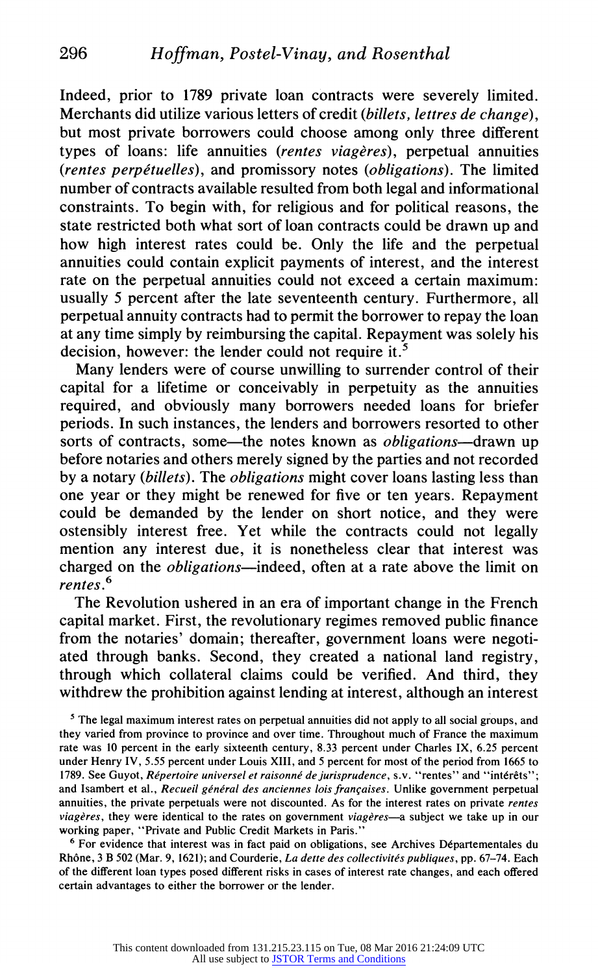Indeed, prior to 1789 private loan contracts were severely limited. Merchants did utilize various letters of credit (billets, lettres de change), but most private borrowers could choose among only three different types of loans: life annuities (*rentes viagères*), perpetual annuities (*rentes perpétuelles*), and promissory notes (*obligations*). The limited number of contracts available resulted from both legal and informational constraints. To begin with, for religious and for political reasons, the state restricted both what sort of loan contracts could be drawn up and how high interest rates could be. Only the life and the perpetual annuities could contain explicit payments of interest, and the interest rate on the perpetual annuities could not exceed a certain maximum: usually 5 percent after the late seventeenth century. Furthermore, all perpetual annuity contracts had to permit the borrower to repay the loan at any time simply by reimbursing the capital. Repayment was solely his decision, however: the lender could not require it.<sup>5</sup>

 Many lenders were of course unwilling to surrender control of their capital for a lifetime or conceivably in perpetuity as the annuities required, and obviously many borrowers needed loans for briefer periods. In such instances, the lenders and borrowers resorted to other sorts of contracts, some—the notes known as *obligations*—drawn up before notaries and others merely signed by the parties and not recorded by a notary (billets). The *obligations* might cover loans lasting less than one year or they might be renewed for five or ten years. Repayment could be demanded by the lender on short notice, and they were ostensibly interest free. Yet while the contracts could not legally mention any interest due, it is nonetheless clear that interest was charged on the *obligations*—indeed, often at a rate above the limit on rentes.<sup>6</sup>

 The Revolution ushered in an era of important change in the French capital market. First, the revolutionary regimes removed public finance from the notaries' domain; thereafter, government loans were negoti ated through banks. Second, they created a national land registry, through which collateral claims could be verified. And third, they withdrew the prohibition against lending at interest, although an interest

<sup>6</sup> For evidence that interest was in fact paid on obligations, see Archives Départementales du Rhône, 3 B 502 (Mar. 9, 1621); and Courderie, La dette des collectivités publiques, pp. 67-74. Each of the different loan types posed different risks in cases of interest rate changes, and each offered certain advantages to either the borrower or the lender.

<sup>&</sup>lt;sup>5</sup> The legal maximum interest rates on perpetual annuities did not apply to all social groups, and they varied from province to province and over time. Throughout much of France the maximum rate was 10 percent in the early sixteenth century, 8.33 percent under Charles IX, 6.25 percent under Henry IV, 5.55 percent under Louis XIII, and 5 percent for most of the period from 1665 to 1789. See Guyot, Répertoire universel et raisonné de jurisprudence, s.v. "rentes" and "intérêts"; and Isambert et al., Recueil général des anciennes lois françaises. Unlike government perpetual annuities, the private perpetuals were not discounted. As for the interest rates on private rentes viageres, they were identical to the rates on government viageres—a subject we take up in our working paper, "Private and Public Credit Markets in Paris."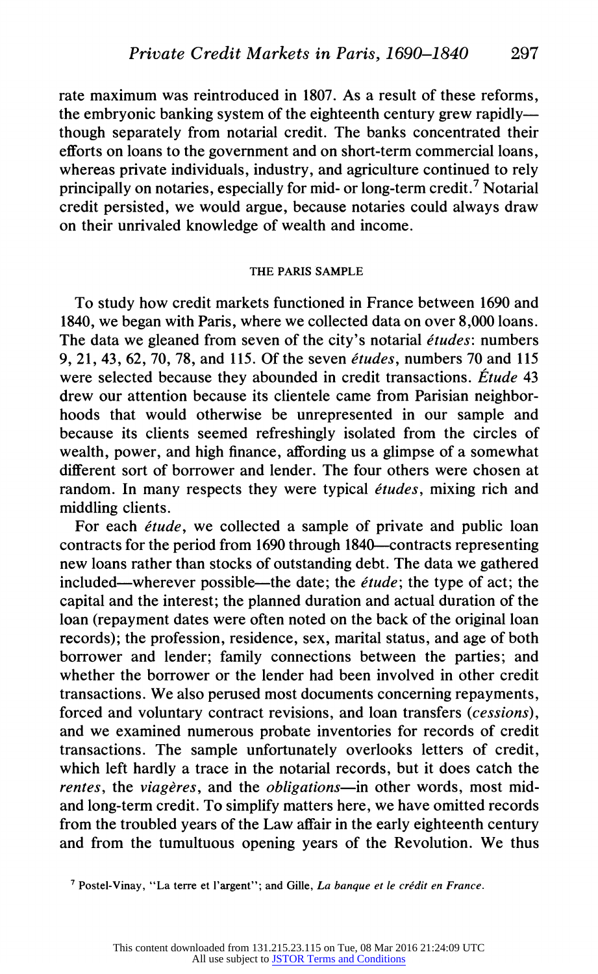rate maximum was reintroduced in 1807. As a result of these reforms, the embryonic banking system of the eighteenth century grew rapidly though separately from notarial credit. The banks concentrated their efforts on loans to the government and on short-term commercial loans, whereas private individuals, industry, and agriculture continued to rely principally on notaries, especially for mid- or long-term credit.<sup>7</sup> Notarial credit persisted, we would argue, because notaries could always draw on their unrivaled knowledge of wealth and income.

## THE PARIS SAMPLE

 To study how credit markets functioned in France between 1690 and 1840, we began with Paris, where we collected data on over 8,000 loans. The data we gleaned from seven of the city's notarial *études*: numbers 9, 21, 43, 62, 70, 78, and 115. Of the seven *études*, numbers 70 and 115 were selected because they abounded in credit transactions. *Étude* 43 drew our attention because its clientele came from Parisian neighbor hoods that would otherwise be unrepresented in our sample and because its clients seemed refreshingly isolated from the circles of wealth, power, and high finance, affording us a glimpse of a somewhat different sort of borrower and lender. The four others were chosen at random. In many respects they were typical études, mixing rich and middling clients.

For each *étude*, we collected a sample of private and public loan contracts for the period from 1690 through 1840—contracts representing new loans rather than stocks of outstanding debt. The data we gathered included—wherever possible—the date; the  $\acute{e}tude$ ; the type of act; the capital and the interest; the planned duration and actual duration of the loan (repayment dates were often noted on the back of the original loan records); the profession, residence, sex, marital status, and age of both borrower and lender; family connections between the parties; and whether the borrower or the lender had been involved in other credit transactions. We also perused most documents concerning repayments, forced and voluntary contract revisions, and loan transfers (cessions), and we examined numerous probate inventories for records of credit transactions. The sample unfortunately overlooks letters of credit, which left hardly a trace in the notarial records, but it does catch the rentes, the viageres, and the *obligations*—in other words, most mid and long-term credit. To simplify matters here, we have omitted records from the troubled years of the Law affair in the early eighteenth century and from the tumultuous opening years of the Revolution. We thus

<sup>7</sup> Postel-Vinay, "La terre et l'argent"; and Gille, La banque et le crédit en France.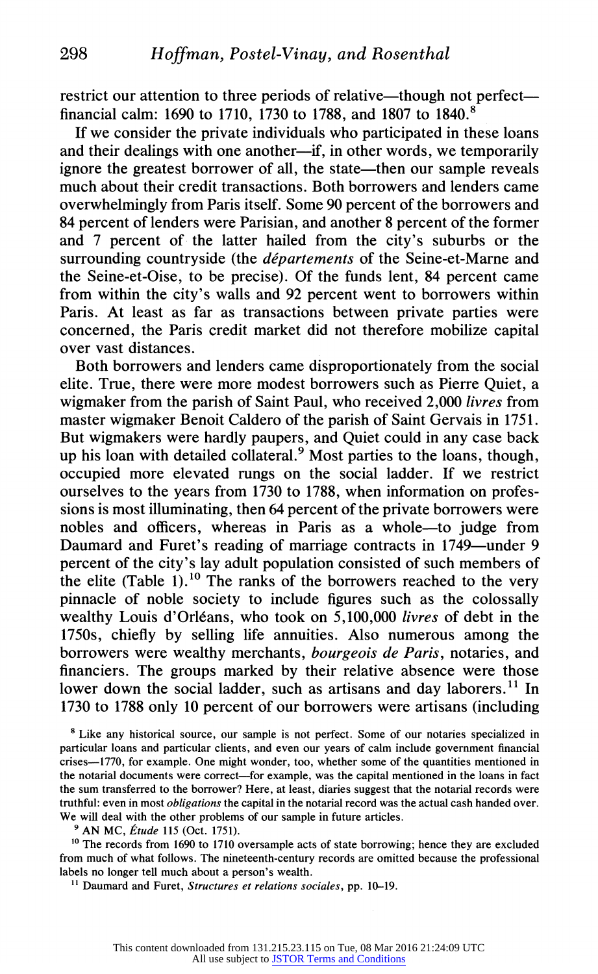restrict our attention to three periods of relative—though not perfect financial calm: 1690 to 1710, 1730 to 1788, and 1807 to 1840.<sup>8</sup>

 If we consider the private individuals who participated in these loans and their dealings with one another—if, in other words, we temporarily ignore the greatest borrower of all, the state—then our sample reveals much about their credit transactions. Both borrowers and lenders came overwhelmingly from Paris itself. Some 90 percent of the borrowers and 84 percent of lenders were Parisian, and another 8 percent of the former and 7 percent of the latter hailed from the city's suburbs or the surrounding countryside (the *départements* of the Seine-et-Marne and the Seine-et-Oise, to be precise). Of the funds lent, 84 percent came from within the city's walls and 92 percent went to borrowers within Paris. At least as far as transactions between private parties were concerned, the Paris credit market did not therefore mobilize capital over vast distances. over vast distances.

 Both borrowers and lenders came disproportionately from the social elite. True, there were more modest borrowers such as Pierre Quiet, a wigmaker from the parish of Saint Paul, who received 2,000 livres from master wigmaker Benoit Caldero of the parish of Saint Gervais in 1751. But wigmakers were hardly paupers, and Quiet could in any case back up his loan with detailed collateral.<sup>9</sup> Most parties to the loans, though, occupied more elevated rungs on the social ladder. If we restrict ourselves to the years from 1730 to 1788, when information on profes sions is most illuminating, then 64 percent of the private borrowers were nobles and officers, whereas in Paris as a whole-to judge from Daumard and Furet's reading of marriage contracts in 1749—under 9 percent of the city's lay adult population consisted of such members of the elite (Table 1).<sup>10</sup> The ranks of the borrowers reached to the very pinnacle of noble society to include figures such as the colossally wealthy Louis d'Orléans, who took on 5,100,000 livres of debt in the 1750s, chiefly by selling life annuities. Also numerous among the borrowers were wealthy merchants, bourgeois de Paris, notaries, and financiers. The groups marked by their relative absence were those lower down the social ladder, such as artisans and day laborers.<sup>11</sup> In 1730 to 1788 only 10 percent of our borrowers were artisans (including

 8 Like any historical source, our sample is not perfect. Some of our notaries specialized in particular loans and particular clients, and even our years of calm include government financial crises-1770, for example. One might wonder, too, whether some of the quantities mentioned in the notarial documents were correct-for example, was the capital mentioned in the loans in fact the sum transferred to the borrower? Here, at least, diaries suggest that the notarial records were truthful: even in most obligations the capital in the notarial record was the actual cash handed over. We will deal with the other problems of our sample in future articles.

<sup>9</sup> AN MC, Étude 115 (Oct. 1751).

<sup>10</sup> The records from 1690 to 1710 oversample acts of state borrowing; hence they are excluded from much of what follows. The nineteenth-century records are omitted because the professional labels no longer tell much about a person's wealth.

<sup>11</sup> Daumard and Furet, Structures et relations sociales, pp. 10-19.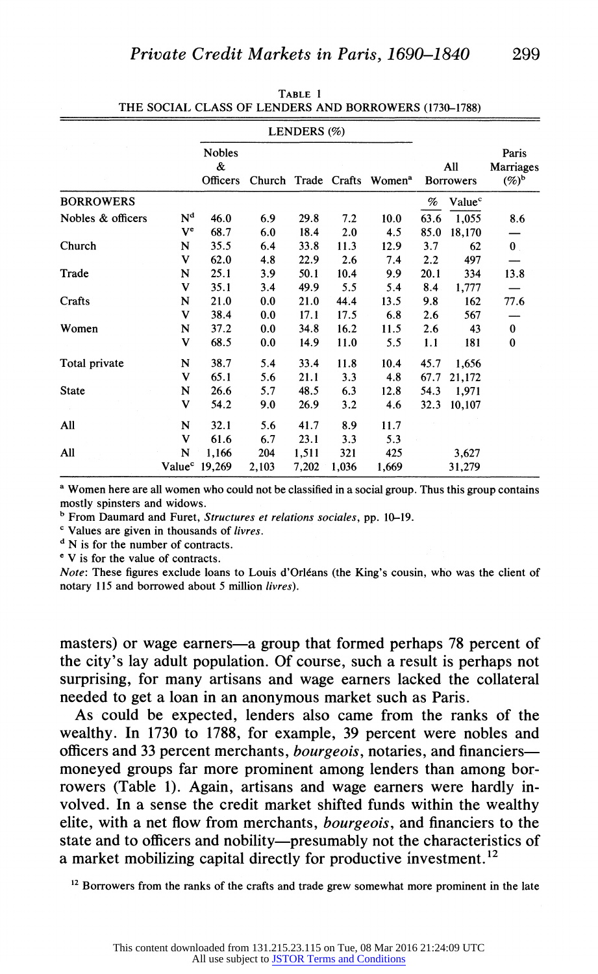|                   |                | LENDERS (%)                    |                     |       |       |                    |                         |                    |                                                  |  |  |
|-------------------|----------------|--------------------------------|---------------------|-------|-------|--------------------|-------------------------|--------------------|--------------------------------------------------|--|--|
|                   |                | <b>Nobles</b><br>&<br>Officers | Church Trade Crafts |       |       | Women <sup>a</sup> | All<br><b>Borrowers</b> |                    | Paris<br><b>Marriages</b><br>$(\%)^{\mathsf{b}}$ |  |  |
| <b>BORROWERS</b>  |                |                                |                     |       |       |                    | %                       | Value <sup>c</sup> |                                                  |  |  |
| Nobles & officers | N <sup>d</sup> | 46.0                           | 6.9                 | 29.8  | 7.2   | 10.0               | 63.6                    | 1,055              | 8.6                                              |  |  |
|                   | V <sup>e</sup> | 68.7                           | 6.0                 | 18.4  | 2.0   | 4.5                | 85.0                    | 18,170             |                                                  |  |  |
| Church            | N              | 35.5                           | 6.4                 | 33.8  | 11.3  | 12.9               | 3.7                     | 62                 | $\mathbf{0}$ .                                   |  |  |
|                   | V              | 62.0                           | 4.8                 | 22.9  | 2.6   | 7.4                | 2.2                     | 497                |                                                  |  |  |
| Trade             | N              | 25.1                           | 3.9                 | 50.1  | 10.4  | 9.9                | 20.1                    | 334                | 13.8                                             |  |  |
|                   | v              | 35.1                           | 3.4                 | 49.9  | 5.5   | 5.4                | 8.4                     | 1,777              |                                                  |  |  |
| Crafts            | N              | 21.0                           | 0.0                 | 21.0  | 44.4  | 13.5               | 9.8                     | 162                | 77.6                                             |  |  |
|                   | V              | 38.4                           | 0.0                 | 17.1  | 17.5  | 6.8                | 2.6                     | 567                |                                                  |  |  |
| Women             | N              | 37.2                           | 0.0                 | 34.8  | 16.2  | 11.5               | 2.6                     | 43                 | $\bf{0}$                                         |  |  |
|                   | V              | 68.5                           | 0.0                 | 14.9  | 11.0  | 5.5                | 1.1                     | 181                | $\bf{0}$                                         |  |  |
| Total private     | N              | 38.7                           | 5.4                 | 33.4  | 11.8  | 10.4               | 45.7                    | 1,656              |                                                  |  |  |
|                   | V              | 65.1                           | 5.6                 | 21.1  | 3.3   | 4.8                | 67.7                    | 21,172             |                                                  |  |  |
| <b>State</b>      | N              | 26.6                           | 5.7                 | 48.5  | 6.3   | 12.8               | 54.3                    | 1,971              |                                                  |  |  |
|                   | V              | 54.2                           | 9.0                 | 26.9  | 3.2   | 4.6                | 32.3                    | 10,107             |                                                  |  |  |
| All               | N              | 32.1                           | 5.6                 | 41.7  | 8.9   | 11.7               |                         |                    |                                                  |  |  |
|                   | V              | 61.6                           | 6.7                 | 23.1  | 3.3   | 5.3                |                         |                    |                                                  |  |  |
| All               | N              | 1,166                          | 204                 | 1,511 | 321   | 425                |                         | 3,627              |                                                  |  |  |
|                   |                | Value <sup>c</sup> 19,269      | 2,103               | 7,202 | 1,036 | 1,669              |                         | 31,279             |                                                  |  |  |

 TABLE 1 THE SOCIAL CLASS OF LENDERS AND BORROWERS (1730-1788)

<sup>a</sup> Women here are all women who could not be classified in a social group. Thus this group contains mostly spinsters and widows.

<sup>b</sup> From Daumard and Furet, Structures et relations sociales, pp. 10-19.

<sup>c</sup> Values are given in thousands of livres.

<sup>d</sup> N is for the number of contracts.

e V is for the value of contracts.

Note: These figures exclude loans to Louis d'Orléans (the King's cousin, who was the client of notary 115 and borrowed about 5 million livres).

masters) or wage earners—a group that formed perhaps 78 percent of the city's lay adult population. Of course, such a result is perhaps not surprising, for many artisans and wage earners lacked the collateral needed to get a loan in an anonymous market such as Paris.

 As could be expected, lenders also came from the ranks of the wealthy. In 1730 to 1788, for example, 39 percent were nobles and officers and 33 percent merchants, *bourgeois*, notaries, and financiers moneyed groups far more prominent among lenders than among bor rowers (Table 1). Again, artisans and wage earners were hardly in volved. In a sense the credit market shifted funds within the wealthy elite, with a net flow from merchants, *bourgeois*, and financiers to the state and to officers and nobility—presumably not the characteristics of a market mobilizing capital directly for productive investment.<sup>12</sup>

<sup>12</sup> Borrowers from the ranks of the crafts and trade grew somewhat more prominent in the late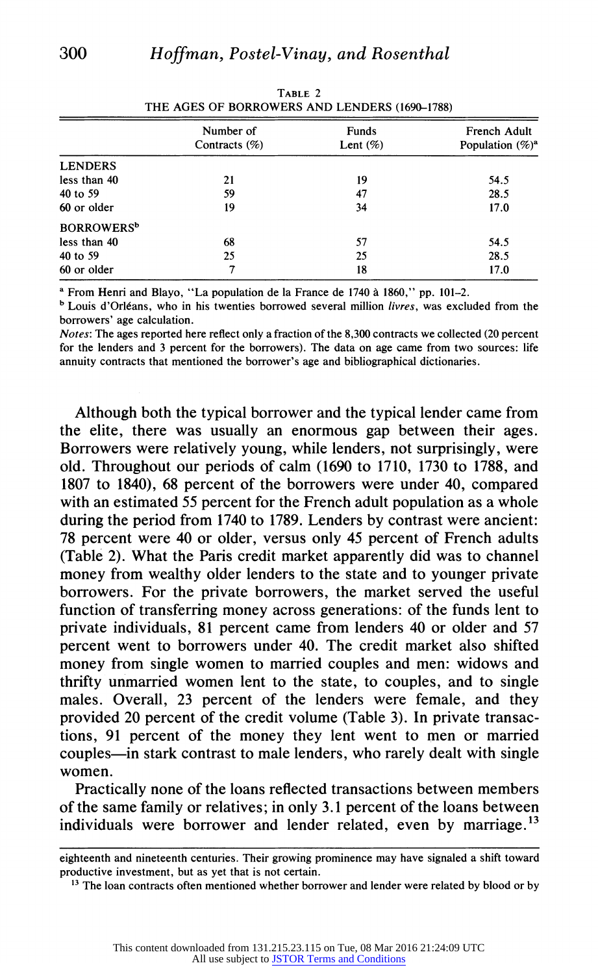|                               | Number of        | Funds       | French Adult        |
|-------------------------------|------------------|-------------|---------------------|
|                               | Contracts $(\%)$ | Lent $(\%)$ | Population $(\%)^a$ |
| <b>LENDERS</b>                |                  |             |                     |
| less than 40                  | 21               | 19          | 54.5                |
| 40 to 59                      | 59               | 47          | 28.5                |
| 60 or older                   | 19               | 34          | 17.0                |
| <b>BORROWERS</b> <sup>b</sup> |                  |             |                     |
| less than 40                  | 68               | 57          | 54.5                |
| 40 to 59                      | 25               | 25          | 28.5                |
| 60 or older                   |                  | 18          | 17.0                |

| TABLE 2                                       |
|-----------------------------------------------|
| THE AGES OF BORROWERS AND LENDERS (1690–1788) |

a From Henri and Blayo, "La population de la France de 1740 a 1860," pp. 101-2.

 $<sup>b</sup>$  Louis d'Orléans, who in his twenties borrowed several million *livres*, was excluded from the</sup> borrowers' age calculation.

 Notes: The ages reported here reflect only a fraction of the 8,300 contracts we collected (20 percent for the lenders and 3 percent for the borrowers). The data on age came from two sources: life annuity contracts that mentioned the borrower's age and bibliographical dictionaries.

 Although both the typical borrower and the typical lender came from the elite, there was usually an enormous gap between their ages. Borrowers were relatively young, while lenders, not surprisingly, were old. Throughout our periods of calm (1690 to 1710, 1730 to 1788, and 1807 to 1840), 68 percent of the borrowers were under 40, compared with an estimated 55 percent for the French adult population as a whole during the period from 1740 to 1789. Lenders by contrast were ancient: 78 percent were 40 or older, versus only 45 percent of French adults (Table 2). What the Paris credit market apparently did was to channel money from wealthy older lenders to the state and to younger private borrowers. For the private borrowers, the market served the useful function of transferring money across generations: of the funds lent to private individuals, 81 percent came from lenders 40 or older and 57 percent went to borrowers under 40. The credit market also shifted money from single women to married couples and men: widows and thrifty unmarried women lent to the state, to couples, and to single males. Overall, 23 percent of the lenders were female, and they provided 20 percent of the credit volume (Table 3). In private transac tions, 91 percent of the money they lent went to men or married couples-in stark contrast to male lenders, who rarely dealt with single women.

 Practically none of the loans reflected transactions between members of the same family or relatives; in only 3.1 percent of the loans between individuals were borrower and lender related, even by marriage.<sup>13</sup>

eighteenth and nineteenth centuries. Their growing prominence may have signaled a shift toward productive investment, but as yet that is not certain.

 $<sup>13</sup>$  The loan contracts often mentioned whether borrower and lender were related by blood or by</sup>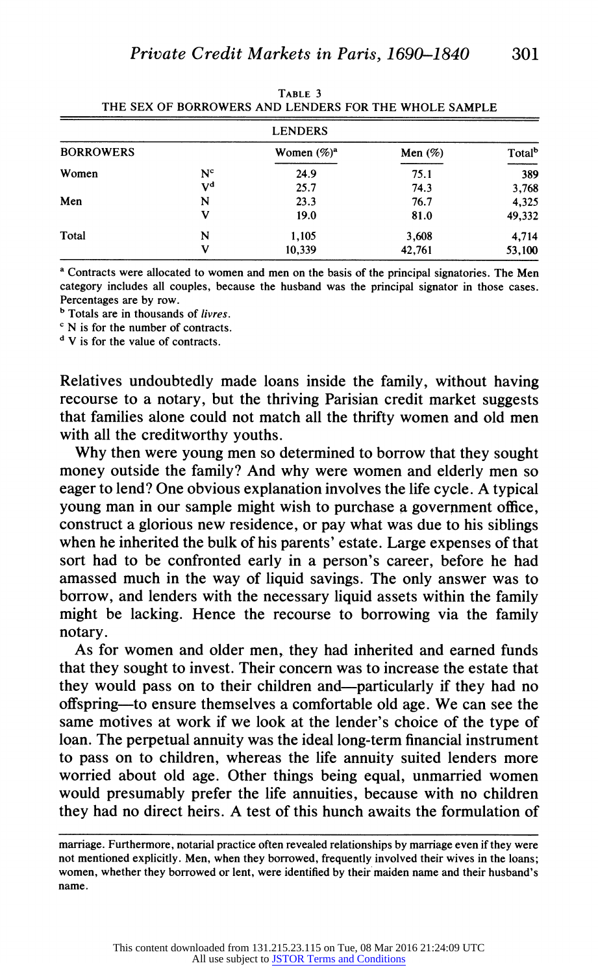|                  |                           | THE SEA OF DOMNOTIONS INTO BENDENS FOR THE THOBE SAMILED |            |                    |  |
|------------------|---------------------------|----------------------------------------------------------|------------|--------------------|--|
|                  |                           | <b>LENDERS</b>                                           |            |                    |  |
| <b>BORROWERS</b> |                           | Women $(\%)^a$                                           | Men $(\%)$ | Total <sup>b</sup> |  |
| Women            | $\mathbf{N}^{\mathsf{c}}$ | 24.9                                                     | 75.1       | 389                |  |
|                  | V <sup>d</sup>            | 25.7                                                     | 74.3       | 3,768              |  |
| Men              | N                         | 23.3                                                     | 76.7       | 4,325              |  |
|                  | V                         | 19.0                                                     | 81.0       | 49,332             |  |
| Total            | N                         | 1,105                                                    | 3,608      | 4,714              |  |
|                  | v                         | 10.339                                                   | 42.761     | 53.100             |  |

 TABLE 3 THE SEX OF BORROWERS AND I ENDERS FOR THE WHOLE SAMPLE

<sup>a</sup> Contracts were allocated to women and men on the basis of the principal signatories. The Men category includes all couples, because the husband was the principal signator in those cases. Percentages are by row.

<sup>b</sup> Totals are in thousands of livres.

<sup>c</sup> N is for the number of contracts.

d V is for the value of contracts.

 Relatives undoubtedly made loans inside the family, without having recourse to a notary, but the thriving Parisian credit market suggests that families alone could not match all the thrifty women and old men with all the creditworthy youths.

 Why then were young men so determined to borrow that they sought money outside the family? And why were women and elderly men so eager to lend? One obvious explanation involves the life cycle. A typical young man in our sample might wish to purchase a government office, construct a glorious new residence, or pay what was due to his siblings when he inherited the bulk of his parents' estate. Large expenses of that sort had to be confronted early in a person's career, before he had amassed much in the way of liquid savings. The only answer was to borrow, and lenders with the necessary liquid assets within the family might be lacking. Hence the recourse to borrowing via the family notary.

 As for women and older men, they had inherited and earned funds that they sought to invest. Their concern was to increase the estate that they would pass on to their children and—particularly if they had no offspring-to ensure themselves a comfortable old age. We can see the same motives at work if we look at the lender's choice of the type of loan. The perpetual annuity was the ideal long-term financial instrument to pass on to children, whereas the life annuity suited lenders more worried about old age. Other things being equal, unmarried women would presumably prefer the life annuities, because with no children they had no direct heirs. A test of this hunch awaits the formulation of

301

marriage. Furthermore, notarial practice often revealed relationships by marriage even if they were not mentioned explicitly. Men, when they borrowed, frequently involved their wives in the loans; women, whether they borrowed or lent, were identified by their maiden name and their husband's name.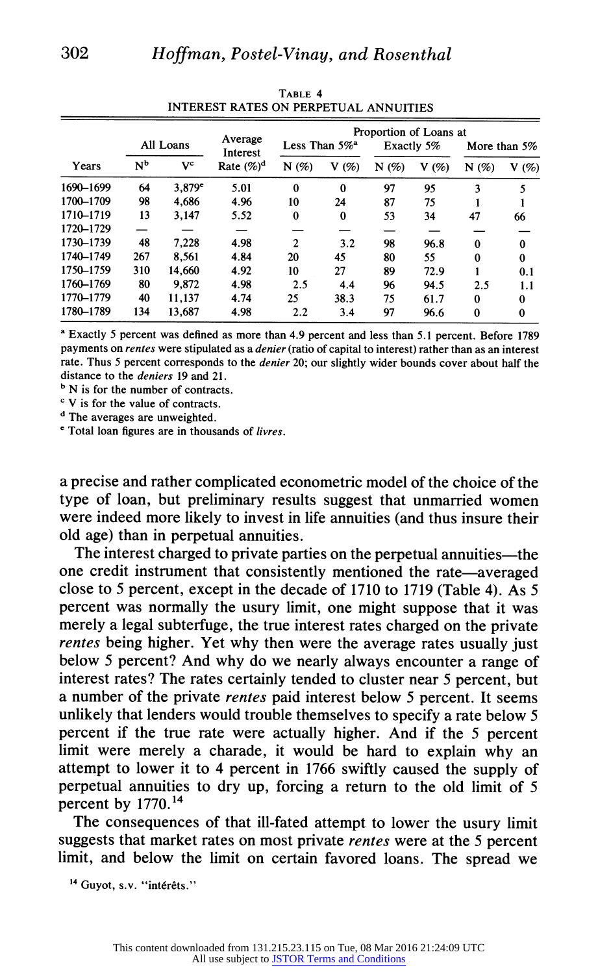|           | All Loans      |                           | Average<br>Interest | Less Than $5\%$ <sup>a</sup> |          | Proportion of Loans at<br>Exactly 5% |        | More than $5\%$ |          |
|-----------|----------------|---------------------------|---------------------|------------------------------|----------|--------------------------------------|--------|-----------------|----------|
| Years     | N <sub>p</sub> | $\mathbf{V}^{\mathbf{c}}$ | Rate $(\%)^d$       | N(%)                         | $V(\%)$  | N(%)                                 | V $(%$ | N(%)            | $V(\%)$  |
| 1690-1699 | 64             | $3,879^e$                 | 5.01                | $\bf{0}$                     | $\bf{0}$ | 97                                   | 95     | 3               | 5        |
| 1700-1709 | 98             | 4.686                     | 4.96                | 10                           | 24       | 87                                   | 75     |                 |          |
| 1710-1719 | 13             | 3,147                     | 5.52                | 0                            | $\bf{0}$ | 53                                   | 34     | 47              | 66       |
| 1720-1729 |                |                           |                     |                              |          |                                      |        |                 |          |
| 1730-1739 | 48             | 7,228                     | 4.98                | $\overline{2}$               | 3.2      | 98                                   | 96.8   | 0               | 0        |
| 1740-1749 | 267            | 8,561                     | 4.84                | 20                           | 45       | 80                                   | 55     | 0               | $\bf{0}$ |
| 1750-1759 | 310            | 14.660                    | 4.92                | 10                           | 27       | 89                                   | 72.9   |                 | 0.1      |
| 1760-1769 | 80             | 9,872                     | 4.98                | 2.5                          | 4.4      | 96                                   | 94.5   | 2.5             | 1.1      |
| 1770–1779 | 40             | 11.137                    | 4.74                | 25                           | 38.3     | 75                                   | 61.7   | $\Omega$        | $\bf{0}$ |
| 1780-1789 | 134            | 13,687                    | 4.98                | 2.2                          | 3.4      | 97                                   | 96.6   | $\mathbf{0}$    | 0        |

 TABLE 4 INTEREST RATES ON PERPETUAL ANNUITIES

 a Exactly 5 percent was defined as more than 4.9 percent and less than 5.1 percent. Before 1789 payments on rentes were stipulated as a denier (ratio of capital to interest) rather than as an interest rate. Thus 5 percent corresponds to the *denier* 20; our slightly wider bounds cover about half the distance to the deniers 19 and 21.

 $<sup>b</sup>$  N is for the number of contracts.</sup>

c V is for the value of contracts.

<sup>d</sup> The averages are unweighted.

<sup>e</sup> Total loan figures are in thousands of livres.

 a precise and rather complicated econometric model of the choice of the type of loan, but preliminary results suggest that unmarried women were indeed more likely to invest in life annuities (and thus insure their old age) than in perpetual annuities.

The interest charged to private parties on the perpetual annuities—the one credit instrument that consistently mentioned the rate-averaged close to 5 percent, except in the decade of 1710 to 1719 (Table 4). As 5 percent was normally the usury limit, one might suppose that it was merely a legal subterfuge, the true interest rates charged on the private rentes being higher. Yet why then were the average rates usually just below 5 percent? And why do we nearly always encounter a range of interest rates? The rates certainly tended to cluster near 5 percent, but a number of the private rentes paid interest below 5 percent. It seems unlikely that lenders would trouble themselves to specify a rate below 5 percent if the true rate were actually higher. And if the 5 percent limit were merely a charade, it would be hard to explain why an attempt to lower it to 4 percent in 1766 swiftly caused the supply of perpetual annuities to dry up, forcing a return to the old limit of 5 percent by  $1770.<sup>14</sup>$ 

 The consequences of that ill-fated attempt to lower the usury limit suggests that market rates on most private rentes were at the 5 percent limit, and below the limit on certain favored loans. The spread we

<sup>14</sup> Guyot, s.v. "intérêts."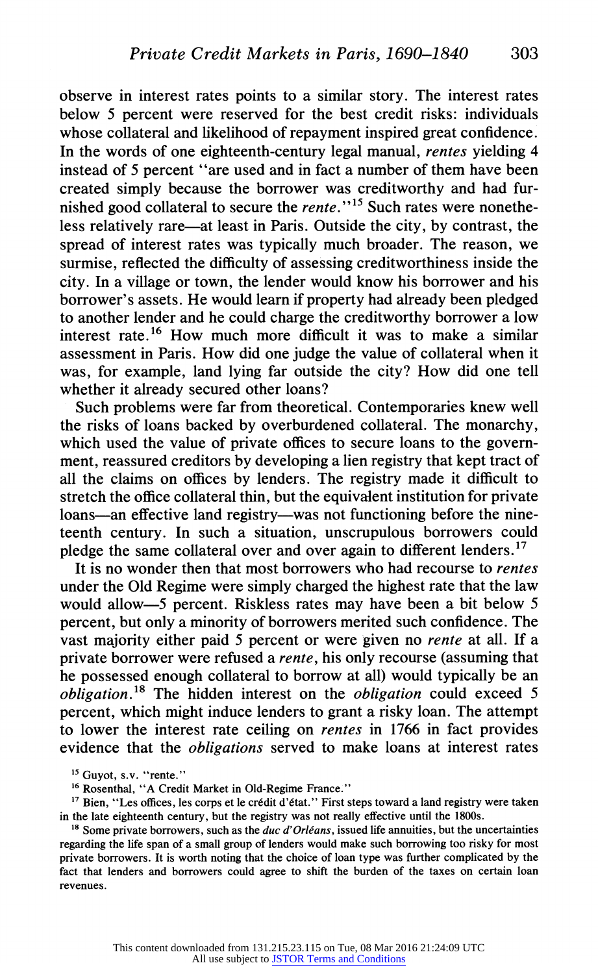observe in interest rates points to a similar story. The interest rates below 5 percent were reserved for the best credit risks: individuals whose collateral and likelihood of repayment inspired great confidence. In the words of one eighteenth-century legal manual, *rentes* yielding 4 instead of 5 percent "are used and in fact a number of them have been created simply because the borrower was creditworthy and had fur nished good collateral to secure the *rente*."<sup>15</sup> Such rates were nonetheless relatively rare—at least in Paris. Outside the city, by contrast, the spread of interest rates was typically much broader. The reason, we surmise, reflected the difficulty of assessing creditworthiness inside the city. In a village or town, the lender would know his borrower and his borrower's assets. He would learn if property had already been pledged to another lender and he could charge the creditworthy borrower a low interest rate.<sup>16</sup> How much more difficult it was to make a similar assessment in Paris. How did one judge the value of collateral when it was, for example, land lying far outside the city? How did one tell whether it already secured other loans?

 Such problems were far from theoretical. Contemporaries knew well the risks of loans backed by overburdened collateral. The monarchy, which used the value of private offices to secure loans to the govern ment, reassured creditors by developing a lien registry that kept tract of all the claims on offices by lenders. The registry made it difficult to stretch the office collateral thin, but the equivalent institution for private loans—an effective land registry—was not functioning before the nine teenth century. In such a situation, unscrupulous borrowers could pledge the same collateral over and over again to different lenders.<sup>17</sup>

It is no wonder then that most borrowers who had recourse to *rentes*  under the Old Regime were simply charged the highest rate that the law would allow-5 percent. Riskless rates may have been a bit below 5 percent, but only a minority of borrowers merited such confidence. The vast majority either paid 5 percent or were given no rente at all. If a private borrower were refused a *rente*, his only recourse (assuming that he possessed enough collateral to borrow at all) would typically be an *obligation*.<sup>18</sup> The hidden interest on the *obligation* could exceed 5 percent, which might induce lenders to grant a risky loan. The attempt to lower the interest rate ceiling on rentes in 1766 in fact provides evidence that the *obligations* served to make loans at interest rates

16 Rosenthal, "A Credit Market in Old-Regime France."

<sup>18</sup> Some private borrowers, such as the *duc d'Orléans*, issued life annuities, but the uncertainties regarding the life span of a small group of lenders would make such borrowing too risky for most private borrowers. It is worth noting that the choice of loan type was further complicated by the fact that lenders and borrowers could agree to shift the burden of the taxes on certain loan revenues.

<sup>&</sup>lt;sup>15</sup> Guyot, s.v. "rente."

<sup>&</sup>lt;sup>17</sup> Bien, "Les offices, les corps et le crédit d'état." First steps toward a land registry were taken in the late eighteenth century, but the registry was not really effective until the 1800s.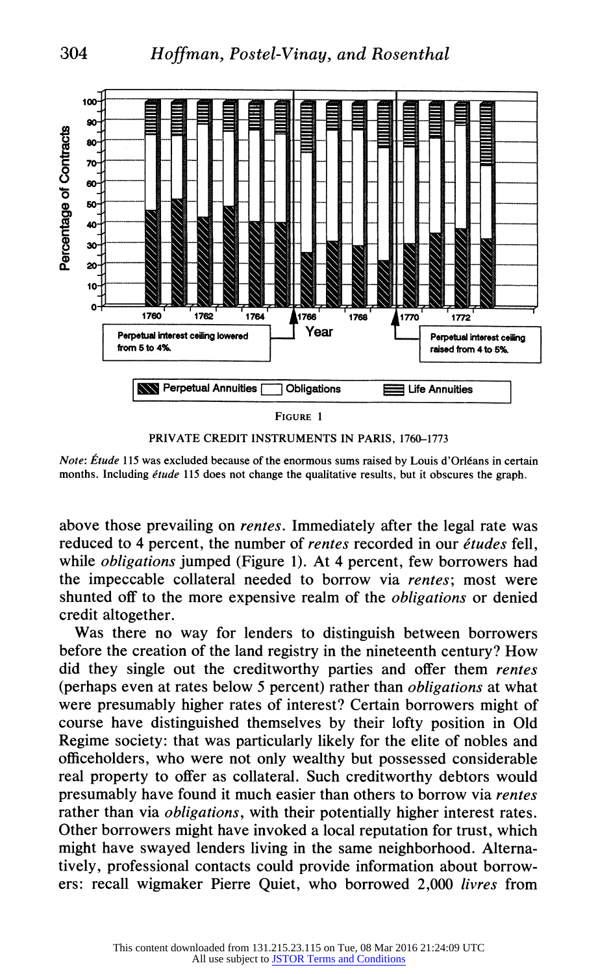

PRIVATE CREDIT INSTRUMENTS IN PARIS, 1760-1773

Note: Étude 115 was excluded because of the enormous sums raised by Louis d'Orléans in certain months. Including *étude* 115 does not change the qualitative results, but it obscures the graph.

above those prevailing on *rentes*. Immediately after the legal rate was reduced to 4 percent, the number of *rentes* recorded in our *études* fell, while *obligations* jumped (Figure 1). At 4 percent, few borrowers had the impeccable collateral needed to borrow via rentes; most were shunted off to the more expensive realm of the *obligations* or denied credit altogether.

 Was there no way for lenders to distinguish between borrowers before the creation of the land registry in the nineteenth century? How did they single out the creditworthy parties and offer them rentes (perhaps even at rates below 5 percent) rather than obligations at what were presumably higher rates of interest? Certain borrowers might of course have distinguished themselves by their lofty position in Old Regime society: that was particularly likely for the elite of nobles and officeholders, who were not only wealthy but possessed considerable real property to offer as collateral. Such creditworthy debtors would presumably have found it much easier than others to borrow via rentes rather than via *obligations*, with their potentially higher interest rates. Other borrowers might have invoked a local reputation for trust, which might have swayed lenders living in the same neighborhood. Alterna tively, professional contacts could provide information about borrow ers: recall wigmaker Pierre Quiet, who borrowed 2,000 livres from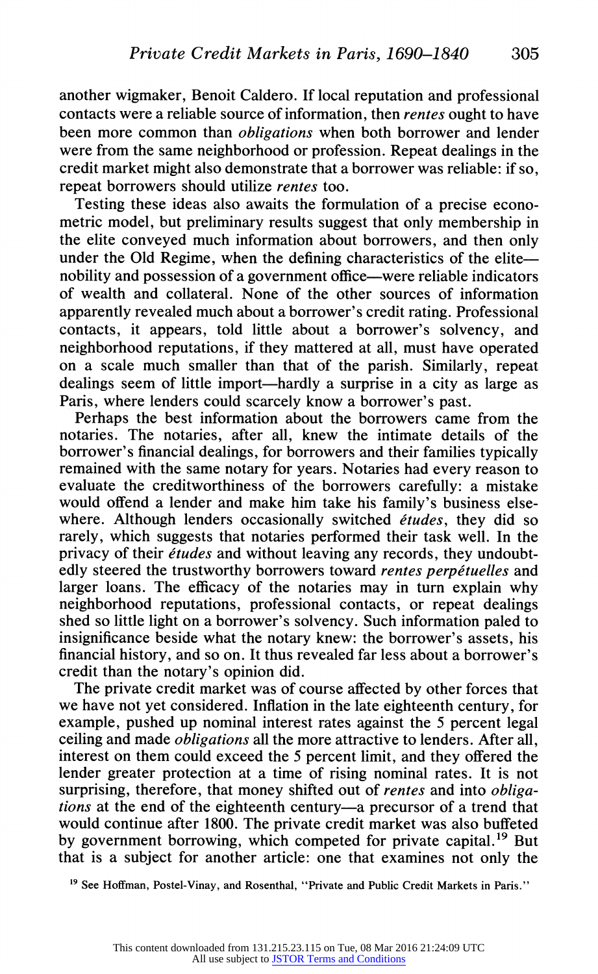another wigmaker, Benoit Caldero. If local reputation and professional contacts were a reliable source of information, then rentes ought to have been more common than *obligations* when both borrower and lender were from the same neighborhood or profession. Repeat dealings in the credit market might also demonstrate that a borrower was reliable: if so, repeat borrowers should utilize rentes too.

 Testing these ideas also awaits the formulation of a precise econo metric model, but preliminary results suggest that only membership in the elite conveyed much information about borrowers, and then only under the Old Regime, when the defining characteristics of the elitenobility and possession of a government office—were reliable indicators of wealth and collateral. None of the other sources of information apparently revealed much about a borrower's credit rating. Professional contacts, it appears, told little about a borrower's solvency, and neighborhood reputations, if they mattered at all, must have operated on a scale much smaller than that of the parish. Similarly, repeat dealings seem of little import-hardly a surprise in a city as large as Paris, where lenders could scarcely know a borrower's past.

 Perhaps the best information about the borrowers came from the notaries. The notaries, after all, knew the intimate details of the borrower's financial dealings, for borrowers and their families typically remained with the same notary for years. Notaries had every reason to evaluate the creditworthiness of the borrowers carefully: a mistake would offend a lender and make him take his family's business else where. Although lenders occasionally switched études, they did so rarely, which suggests that notaries performed their task well. In the privacy of their études and without leaving any records, they undoubtedly steered the trustworthy borrowers toward rentes perpétuelles and larger loans. The efficacy of the notaries may in turn explain why neighborhood reputations, professional contacts, or repeat dealings shed so little light on a borrower's solvency. Such information paled to insignificance beside what the notary knew: the borrower's assets, his financial history, and so on. It thus revealed far less about a borrower's credit than the notary's opinion did.

 The private credit market was of course affected by other forces that we have not yet considered. Inflation in the late eighteenth century, for example, pushed up nominal interest rates against the 5 percent legal ceiling and made obligations all the more attractive to lenders. After all, interest on them could exceed the 5 percent limit, and they offered the lender greater protection at a time of rising nominal rates. It is not surprising, therefore, that money shifted out of *rentes* and into *obliga*tions at the end of the eighteenth century—a precursor of a trend that would continue after 1800. The private credit market was also buffeted by government borrowing, which competed for private capital.<sup>19</sup> But that is a subject for another article: one that examines not only the

<sup>19</sup> See Hoffman, Postel-Vinay, and Rosenthal, "Private and Public Credit Markets in Paris."